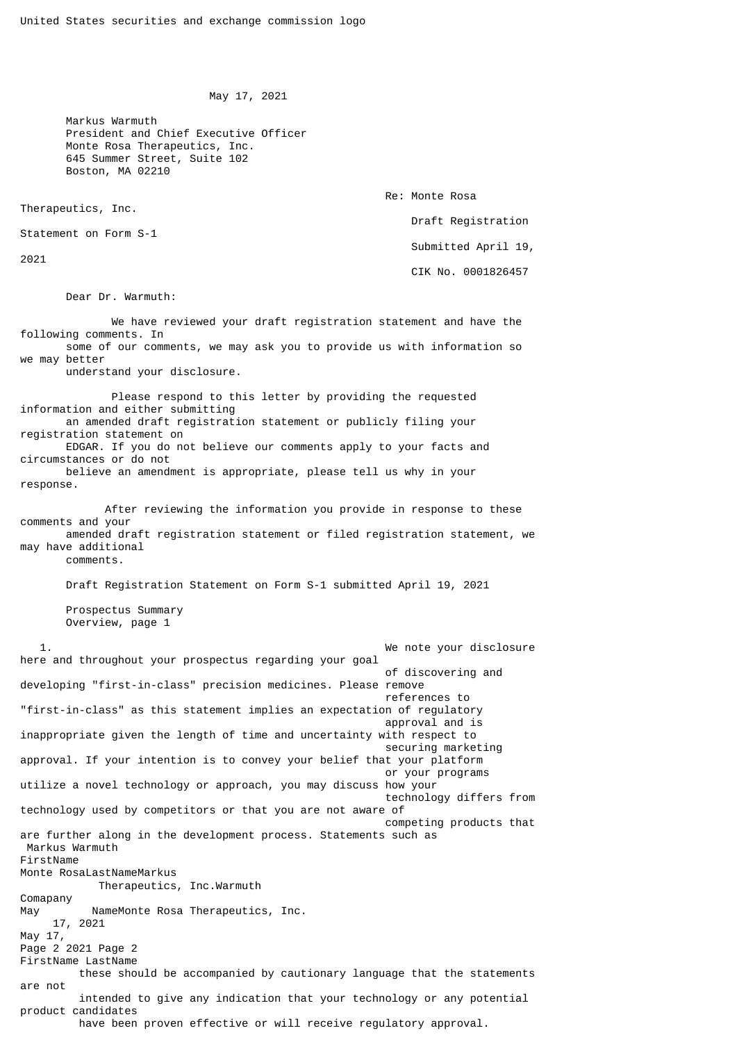```
 May 17, 2021
```
 Markus Warmuth President and Chief Executive Officer Monte Rosa Therapeutics, Inc. 645 Summer Street, Suite 102 Boston, MA 02210

Re: Monte Rosa

Draft Registration

Statement on Form S-1

Therapeutics, Inc.

2021

 Submitted April 19, CIK No. 0001826457

Dear Dr. Warmuth:

 We have reviewed your draft registration statement and have the following comments. In some of our comments, we may ask you to provide us with information so we may better

understand your disclosure.

 Please respond to this letter by providing the requested information and either submitting an amended draft registration statement or publicly filing your registration statement on EDGAR. If you do not believe our comments apply to your facts and circumstances or do not believe an amendment is appropriate, please tell us why in your response.

 After reviewing the information you provide in response to these comments and your amended draft registration statement or filed registration statement, we may have additional comments.

 Draft Registration Statement on Form S-1 submitted April 19, 2021 Prospectus Summary Overview, page 1

 1. We note your disclosure here and throughout your prospectus regarding your goal of discovering and developing "first-in-class" precision medicines. Please remove references to "first-in-class" as this statement implies an expectation of regulatory approval and is inappropriate given the length of time and uncertainty with respect to securing marketing approval. If your intention is to convey your belief that your platform or your programs utilize a novel technology or approach, you may discuss how your technology differs from technology used by competitors or that you are not aware of competing products that are further along in the development process. Statements such as Markus Warmuth FirstName Monte RosaLastNameMarkus Therapeutics, Inc.Warmuth Comapany May MameMonte Rosa Therapeutics, Inc. 17, 2021 May 17, Page 2 2021 Page 2 FirstName LastName these should be accompanied by cautionary language that the statements are not intended to give any indication that your technology or any potential product candidates have been proven effective or will receive regulatory approval.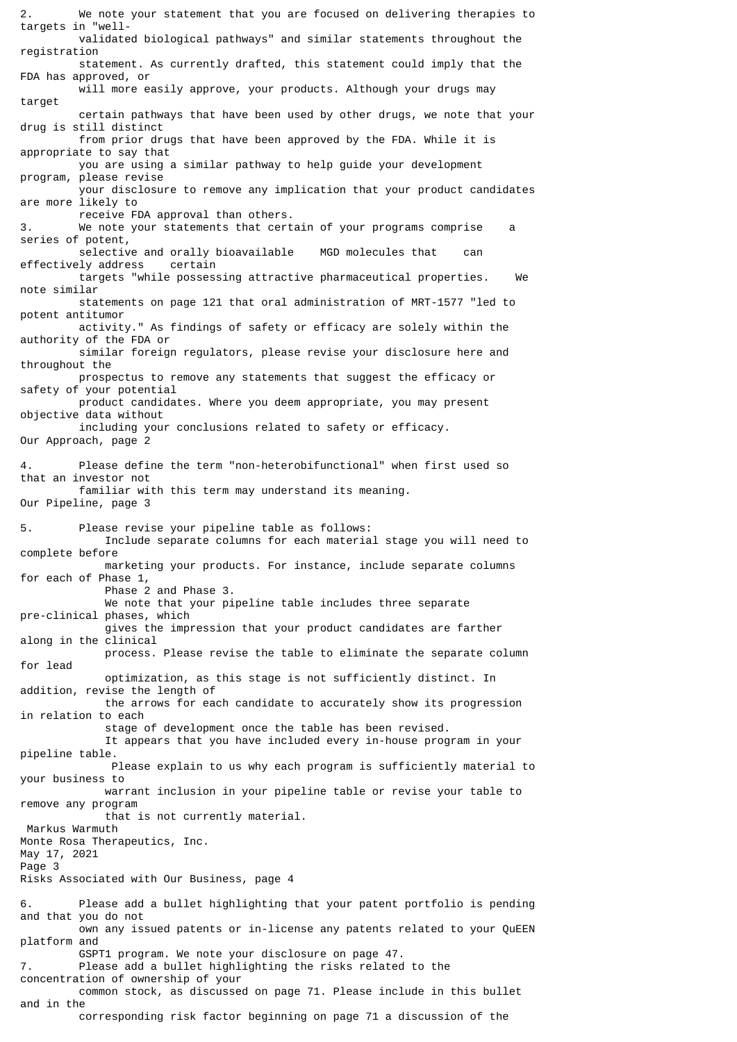2. We note your statement that you are focused on delivering therapies to targets in "well validated biological pathways" and similar statements throughout the registration statement. As currently drafted, this statement could imply that the FDA has approved, or will more easily approve, your products. Although your drugs may target certain pathways that have been used by other drugs, we note that your drug is still distinct from prior drugs that have been approved by the FDA. While it is appropriate to say that you are using a similar pathway to help guide your development program, please revise your disclosure to remove any implication that your product candidates are more likely to receive FDA approval than others. 3. We note your statements that certain of your programs comprise a series of potent, selective and orally bioavailable MGD molecules that can effectively address certain targets "while possessing attractive pharmaceutical properties. We note similar statements on page 121 that oral administration of MRT-1577 "led to potent antitumor activity." As findings of safety or efficacy are solely within the authority of the FDA or similar foreign regulators, please revise your disclosure here and throughout the prospectus to remove any statements that suggest the efficacy or safety of your potential product candidates. Where you deem appropriate, you may present objective data without including your conclusions related to safety or efficacy. Our Approach, page 2 4. Please define the term "non-heterobifunctional" when first used so that an investor not familiar with this term may understand its meaning. Our Pipeline, page 3 5. Please revise your pipeline table as follows: Include separate columns for each material stage you will need to complete before marketing your products. For instance, include separate columns for each of Phase 1, Phase 2 and Phase 3. We note that your pipeline table includes three separate pre-clinical phases, which gives the impression that your product candidates are farther along in the clinical process. Please revise the table to eliminate the separate column for lead optimization, as this stage is not sufficiently distinct. In addition, revise the length of the arrows for each candidate to accurately show its progression in relation to each stage of development once the table has been revised. It appears that you have included every in-house program in your pipeline table. Please explain to us why each program is sufficiently material to your business to warrant inclusion in your pipeline table or revise your table to remove any program that is not currently material. Markus Warmuth Monte Rosa Therapeutics, Inc. May 17, 2021 Page 3 Risks Associated with Our Business, page 4 6. Please add a bullet highlighting that your patent portfolio is pending and that you do not own any issued patents or in-license any patents related to your QuEEN platform and GSPT1 program. We note your disclosure on page 47. 7. Please add a bullet highlighting the risks related to the concentration of ownership of your common stock, as discussed on page 71. Please include in this bullet and in the corresponding risk factor beginning on page 71 a discussion of the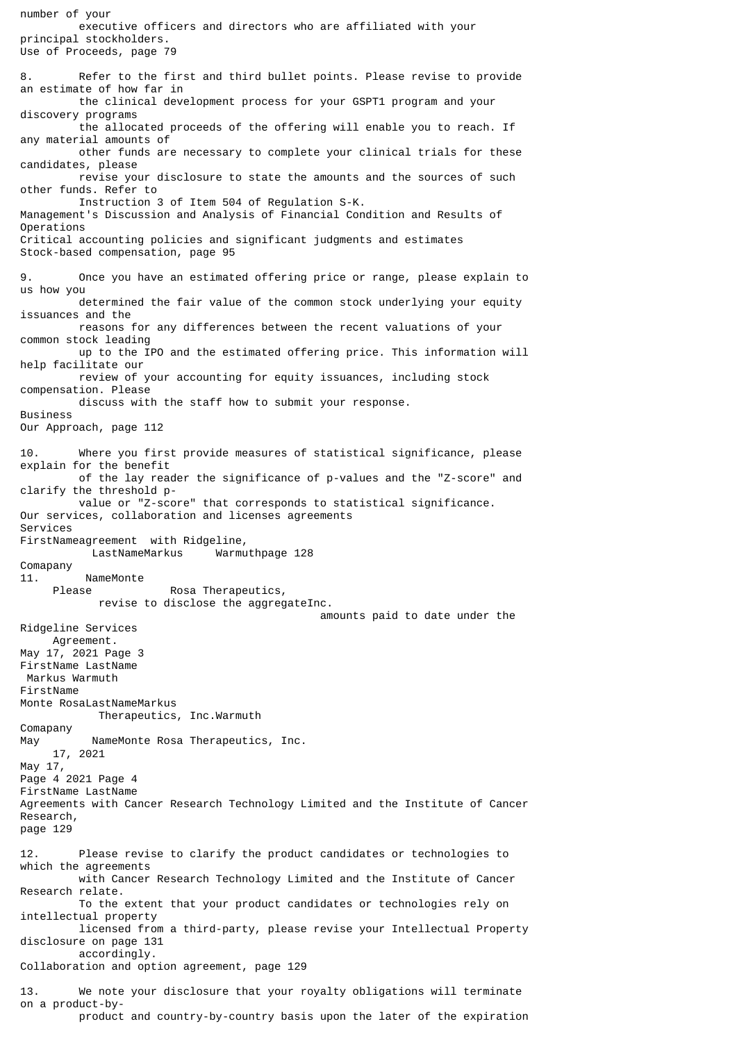number of your executive officers and directors who are affiliated with your principal stockholders. Use of Proceeds, page 79 8. Refer to the first and third bullet points. Please revise to provide an estimate of how far in the clinical development process for your GSPT1 program and your discovery programs the allocated proceeds of the offering will enable you to reach. If any material amounts of other funds are necessary to complete your clinical trials for these candidates, please revise your disclosure to state the amounts and the sources of such other funds. Refer to Instruction 3 of Item 504 of Regulation S-K. Management's Discussion and Analysis of Financial Condition and Results of Operations Critical accounting policies and significant judgments and estimates Stock-based compensation, page 95 9. Once you have an estimated offering price or range, please explain to us how you determined the fair value of the common stock underlying your equity issuances and the reasons for any differences between the recent valuations of your common stock leading up to the IPO and the estimated offering price. This information will help facilitate our review of your accounting for equity issuances, including stock compensation. Please discuss with the staff how to submit your response. Business Our Approach, page 112 10. Where you first provide measures of statistical significance, please explain for the benefit of the lay reader the significance of p-values and the "Z-score" and clarify the threshold p value or "Z-score" that corresponds to statistical significance. Our services, collaboration and licenses agreements Services FirstNameagreement with Ridgeline, Warmuthpage 128 Comapany 11. NameMonte Rosa Therapeutics, revise to disclose the aggregateInc. amounts paid to date under the Ridgeline Services Agreement. May 17, 2021 Page 3 FirstName LastName Markus Warmuth FirstName Monte RosaLastNameMarkus Therapeutics, Inc.Warmuth Comapany May MameMonte Rosa Therapeutics, Inc. 17, 2021 May 17, Page 4 2021 Page 4 FirstName LastName Agreements with Cancer Research Technology Limited and the Institute of Cancer Research, page 129 12. Please revise to clarify the product candidates or technologies to which the agreements with Cancer Research Technology Limited and the Institute of Cancer Research relate. To the extent that your product candidates or technologies rely on intellectual property licensed from a third-party, please revise your Intellectual Property disclosure on page 131 accordingly. Collaboration and option agreement, page 129 13. We note your disclosure that your royalty obligations will terminate on a product-by product and country-by-country basis upon the later of the expiration